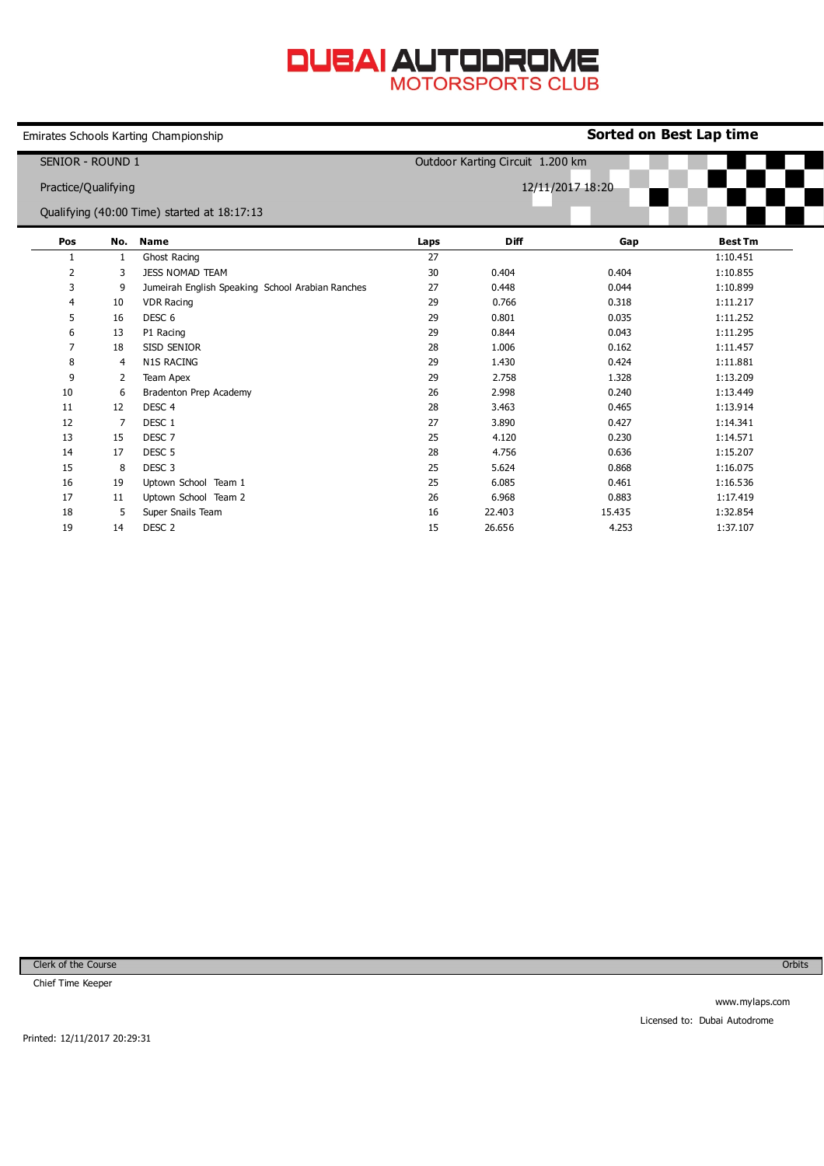## **DUBAI AUTODROME**

|                                                                                        |     | Emirates Schools Karting Championship            | Sorted on Best Lap time          |             |        |                |  |  |
|----------------------------------------------------------------------------------------|-----|--------------------------------------------------|----------------------------------|-------------|--------|----------------|--|--|
| SENIOR - ROUND 1<br>Practice/Qualifying<br>Qualifying (40:00 Time) started at 18:17:13 |     |                                                  | Outdoor Karting Circuit 1.200 km |             |        |                |  |  |
|                                                                                        |     |                                                  | 12/11/2017 18:20                 |             |        |                |  |  |
| Pos                                                                                    | No. | <b>Name</b>                                      | Laps                             | <b>Diff</b> | Gap    | <b>Best Tm</b> |  |  |
| 1                                                                                      | 1   | Ghost Racing                                     | 27                               |             |        | 1:10.451       |  |  |
| 2                                                                                      | 3   | <b>JESS NOMAD TEAM</b>                           | 30                               | 0.404       | 0.404  | 1:10.855       |  |  |
| 3                                                                                      | 9   | Jumeirah English Speaking School Arabian Ranches | 27                               | 0.448       | 0.044  | 1:10.899       |  |  |
| 4                                                                                      | 10  | <b>VDR Racing</b>                                | 29                               | 0.766       | 0.318  | 1:11.217       |  |  |
| 5                                                                                      | 16  | DESC <sub>6</sub>                                | 29                               | 0.801       | 0.035  | 1:11.252       |  |  |
| 6                                                                                      | 13  | P1 Racing                                        | 29                               | 0.844       | 0.043  | 1:11.295       |  |  |
| 7                                                                                      | 18  | <b>SISD SENIOR</b>                               | 28                               | 1.006       | 0.162  | 1:11.457       |  |  |
| 8                                                                                      | 4   | <b>N1S RACING</b>                                | 29                               | 1.430       | 0.424  | 1:11.881       |  |  |
| 9                                                                                      | 2   | Team Apex                                        | 29                               | 2.758       | 1.328  | 1:13.209       |  |  |
| 10                                                                                     | 6   | Bradenton Prep Academy                           | 26                               | 2.998       | 0.240  | 1:13.449       |  |  |
| 11                                                                                     | 12  | DESC <sub>4</sub>                                | 28                               | 3.463       | 0.465  | 1:13.914       |  |  |
| 12                                                                                     | 7   | DESC 1                                           | 27                               | 3.890       | 0.427  | 1:14.341       |  |  |
| 13                                                                                     | 15  | DESC <sub>7</sub>                                | 25                               | 4.120       | 0.230  | 1:14.571       |  |  |
| 14                                                                                     | 17  | DESC <sub>5</sub>                                | 28                               | 4.756       | 0.636  | 1:15.207       |  |  |
| 15                                                                                     | 8   | DESC <sub>3</sub>                                | 25                               | 5.624       | 0.868  | 1:16.075       |  |  |
| 16                                                                                     | 19  | Uptown School Team 1                             | 25                               | 6.085       | 0.461  | 1:16.536       |  |  |
| 17                                                                                     | 11  | Uptown School Team 2                             | 26                               | 6.968       | 0.883  | 1:17.419       |  |  |
| 18                                                                                     | 5   | Super Snails Team                                | 16                               | 22.403      | 15.435 | 1:32.854       |  |  |
| 19                                                                                     | 14  | DESC <sub>2</sub>                                | 15                               | 26.656      | 4.253  | 1:37.107       |  |  |

Clerk of the Course

Chief Time Keeper

Orbits